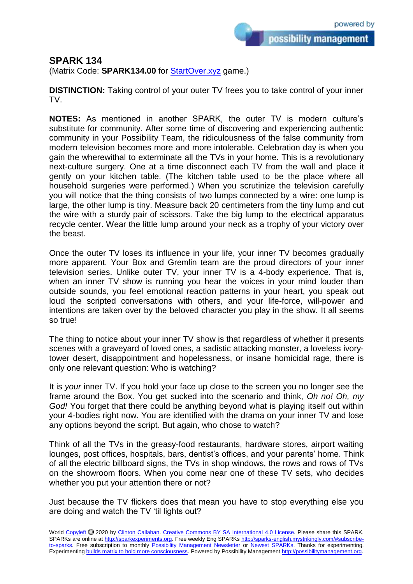possibility management

## **SPARK 134**

(Matrix Code: **SPARK134.00** for **StartOver.xyz** game.)

**DISTINCTION:** Taking control of your outer TV frees you to take control of your inner TV.

**NOTES:** As mentioned in another SPARK, the outer TV is modern culture's substitute for community. After some time of discovering and experiencing authentic community in your Possibility Team, the ridiculousness of the false community from modern television becomes more and more intolerable. Celebration day is when you gain the wherewithal to exterminate all the TVs in your home. This is a revolutionary next-culture surgery. One at a time disconnect each TV from the wall and place it gently on your kitchen table. (The kitchen table used to be the place where all household surgeries were performed.) When you scrutinize the television carefully you will notice that the thing consists of two lumps connected by a wire: one lump is large, the other lump is tiny. Measure back 20 centimeters from the tiny lump and cut the wire with a sturdy pair of scissors. Take the big lump to the electrical apparatus recycle center. Wear the little lump around your neck as a trophy of your victory over the beast.

Once the outer TV loses its influence in your life, your inner TV becomes gradually more apparent. Your Box and Gremlin team are the proud directors of your inner television series. Unlike outer TV, your inner TV is a 4-body experience. That is, when an inner TV show is running you hear the voices in your mind louder than outside sounds, you feel emotional reaction patterns in your heart, you speak out loud the scripted conversations with others, and your life-force, will-power and intentions are taken over by the beloved character you play in the show. It all seems so true!

The thing to notice about your inner TV show is that regardless of whether it presents scenes with a graveyard of loved ones, a sadistic attacking monster, a loveless ivorytower desert, disappointment and hopelessness, or insane homicidal rage, there is only one relevant question: Who is watching?

It is *your* inner TV. If you hold your face up close to the screen you no longer see the frame around the Box. You get sucked into the scenario and think, *Oh no! Oh, my God!* You forget that there could be anything beyond what is playing itself out within your 4-bodies right now. You are identified with the drama on your inner TV and lose any options beyond the script. But again, who chose to watch?

Think of all the TVs in the greasy-food restaurants, hardware stores, airport waiting lounges, post offices, hospitals, bars, dentist's offices, and your parents' home. Think of all the electric billboard signs, the TVs in shop windows, the rows and rows of TVs on the showroom floors. When you come near one of these TV sets, who decides whether you put your attention there or not?

Just because the TV flickers does that mean you have to stop everything else you are doing and watch the TV 'til lights out?

World [Copyleft](https://en.wikipedia.org/wiki/Copyleft) <sup>5</sup> 2020 by [Clinton Callahan.](http://clintoncallahan.mystrikingly.com/) [Creative Commons BY SA International 4.0 License.](https://creativecommons.org/licenses/by-sa/4.0/) Please share this SPARK. SPARKs are online at [http://sparkexperiments.org.](http://sparks-english.mystrikingly.com/) Free weekly Eng SPARKs [http://sparks-english.mystrikingly.com/#subscribe](http://sparks-english.mystrikingly.com/#subscribe-to-sparks)[to-sparks.](http://sparks-english.mystrikingly.com/#subscribe-to-sparks) Free subscription to monthly [Possibility Management Newsletter](https://possibilitymanagement.org/news/) or [Newest SPARKs.](https://www.clintoncallahan.org/newsletter-1) Thanks for experimenting. Experimentin[g builds matrix to hold more consciousness.](http://spaceport.mystrikingly.com/) Powered by Possibility Managemen[t http://possibilitymanagement.org.](http://possibilitymanagement.org/)